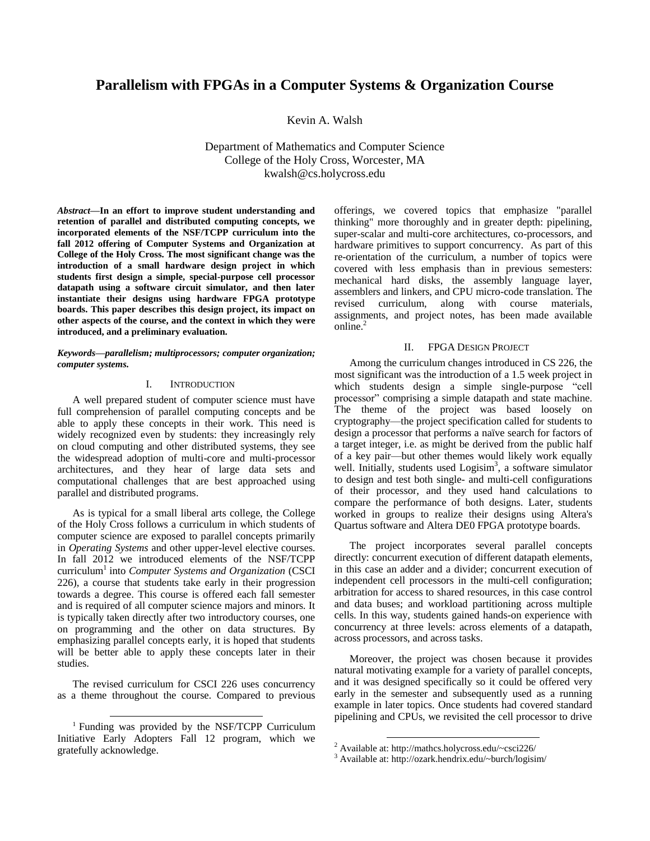## **Parallelism with FPGAs in a Computer Systems & Organization Course**

Kevin A. Walsh

Department of Mathematics and Computer Science College of the Holy Cross, Worcester, MA kwalsh@cs.holycross.edu

*Abstract***—In an effort to improve student understanding and retention of parallel and distributed computing concepts, we incorporated elements of the NSF/TCPP curriculum into the fall 2012 offering of Computer Systems and Organization at College of the Holy Cross. The most significant change was the introduction of a small hardware design project in which students first design a simple, special-purpose cell processor datapath using a software circuit simulator, and then later instantiate their designs using hardware FPGA prototype boards. This paper describes this design project, its impact on other aspects of the course, and the context in which they were introduced, and a preliminary evaluation.**

*Keywords—parallelism; multiprocessors; computer organization; computer systems.*

## I. INTRODUCTION

A well prepared student of computer science must have full comprehension of parallel computing concepts and be able to apply these concepts in their work. This need is widely recognized even by students: they increasingly rely on cloud computing and other distributed systems, they see the widespread adoption of multi-core and multi-processor architectures, and they hear of large data sets and computational challenges that are best approached using parallel and distributed programs.

As is typical for a small liberal arts college, the College of the Holy Cross follows a curriculum in which students of computer science are exposed to parallel concepts primarily in *Operating Systems* and other upper-level elective courses. In fall 2012 we introduced elements of the NSF/TCPP curriculum<sup>1</sup> into *Computer Systems and Organization* (CSCI 226), a course that students take early in their progression towards a degree. This course is offered each fall semester and is required of all computer science majors and minors. It is typically taken directly after two introductory courses, one on programming and the other on data structures. By emphasizing parallel concepts early, it is hoped that students will be better able to apply these concepts later in their studies.

The revised curriculum for CSCI 226 uses concurrency as a theme throughout the course. Compared to previous

l

offerings, we covered topics that emphasize "parallel thinking" more thoroughly and in greater depth: pipelining, super-scalar and multi-core architectures, co-processors, and hardware primitives to support concurrency. As part of this re-orientation of the curriculum, a number of topics were covered with less emphasis than in previous semesters: mechanical hard disks, the assembly language layer, assemblers and linkers, and CPU micro-code translation. The revised curriculum, along with course materials, assignments, and project notes, has been made available online. 2

## II. FPGA DESIGN PROJECT

Among the curriculum changes introduced in CS 226, the most significant was the introduction of a 1.5 week project in which students design a simple single-purpose "cell processor" comprising a simple datapath and state machine. The theme of the project was based loosely on cryptography—the project specification called for students to design a processor that performs a naïve search for factors of a target integer, i.e. as might be derived from the public half of a key pair—but other themes would likely work equally well. Initially, students used Logisim<sup>3</sup>, a software simulator to design and test both single- and multi-cell configurations of their processor, and they used hand calculations to compare the performance of both designs. Later, students worked in groups to realize their designs using Altera's Quartus software and Altera DE0 FPGA prototype boards.

The project incorporates several parallel concepts directly: concurrent execution of different datapath elements, in this case an adder and a divider; concurrent execution of independent cell processors in the multi-cell configuration; arbitration for access to shared resources, in this case control and data buses; and workload partitioning across multiple cells. In this way, students gained hands-on experience with concurrency at three levels: across elements of a datapath, across processors, and across tasks.

Moreover, the project was chosen because it provides natural motivating example for a variety of parallel concepts, and it was designed specifically so it could be offered very early in the semester and subsequently used as a running example in later topics. Once students had covered standard pipelining and CPUs, we revisited the cell processor to drive

 $\overline{a}$ 

<sup>1</sup> Funding was provided by the NSF/TCPP Curriculum Initiative Early Adopters Fall 12 program, which we gratefully acknowledge.

<sup>&</sup>lt;sup>2</sup> Available at: http://mathcs.holycross.edu/~csci226/

<sup>3</sup> Available at: http://ozark.hendrix.edu/~burch/logisim/